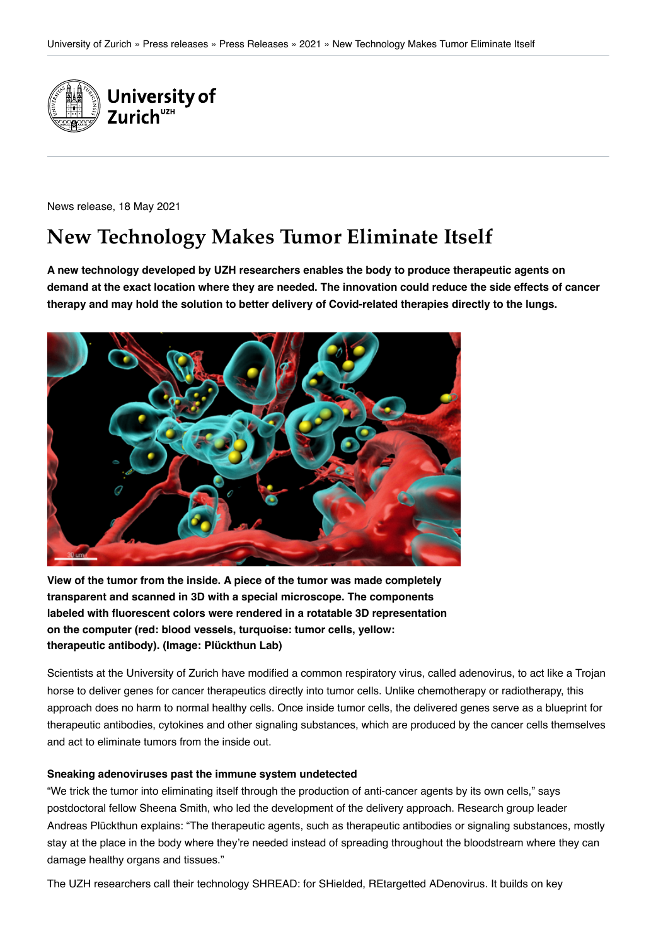

News release, 18 May 2021

# **New Technology Makes Tumor Eliminate Itself**

**A new technology developed by UZH researchers enables the body to produce therapeutic agents on demand at the exact location where they are needed. The innovation could reduce the side effects of cancer therapy and may hold the solution to better delivery of Covid-related therapies directly to the lungs.**



**View of the tumor from the inside. A piece of the tumor was made completely transparent and scanned in 3D with a special microscope. The components labeled with fluorescent colors were rendered in a rotatable 3D representation on the computer (red: blood vessels, turquoise: tumor cells, yellow: therapeutic antibody). (Image: Plückthun Lab)**

Scientists at the University of Zurich have modified a common respiratory virus, called adenovirus, to act like a Trojan horse to deliver genes for cancer therapeutics directly into tumor cells. Unlike chemotherapy or radiotherapy, this approach does no harm to normal healthy cells. Once inside tumor cells, the delivered genes serve as a blueprint for therapeutic antibodies, cytokines and other signaling substances, which are produced by the cancer cells themselves and act to eliminate tumors from the inside out.

#### **Sneaking adenoviruses past the immune system undetected**

"We trick the tumor into eliminating itself through the production of anti-cancer agents by its own cells," says postdoctoral fellow Sheena Smith, who led the development of the delivery approach. Research group leader Andreas Plückthun explains: "The therapeutic agents, such as therapeutic antibodies or signaling substances, mostly stay at the place in the body where they're needed instead of spreading throughout the bloodstream where they can damage healthy organs and tissues."

The UZH researchers call their technology SHREAD: for SHielded, REtargetted ADenovirus. It builds on key